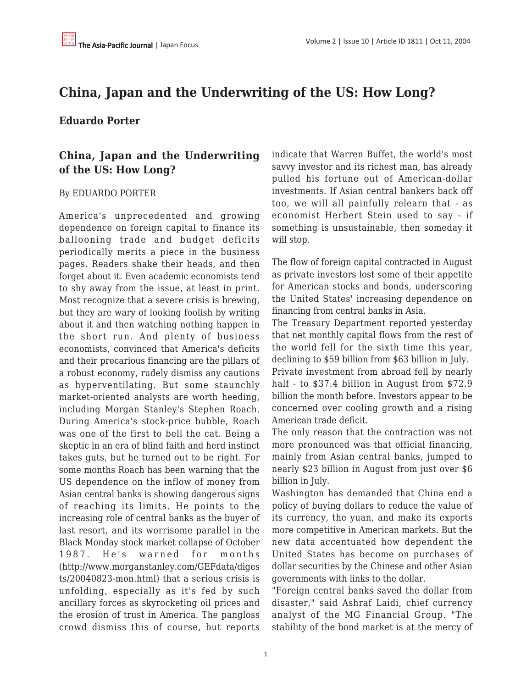## **China, Japan and the Underwriting of the US: How Long?**

## **Eduardo Porter**

## **China, Japan and the Underwriting of the US: How Long?**

## By EDUARDO PORTER

America's unprecedented and growing dependence on foreign capital to finance its ballooning trade and budget deficits periodically merits a piece in the business pages. Readers shake their heads, and then forget about it. Even academic economists tend to shy away from the issue, at least in print. Most recognize that a severe crisis is brewing, but they are wary of looking foolish by writing about it and then watching nothing happen in the short run. And plenty of business economists, convinced that America's deficits and their precarious financing are the pillars of a robust economy, rudely dismiss any cautions as hyperventilating. But some staunchly market-oriented analysts are worth heeding, including Morgan Stanley's Stephen Roach. During America's stock-price bubble, Roach was one of the first to bell the cat. Being a skeptic in an era of blind faith and herd instinct takes guts, but he turned out to be right. For some months Roach has been warning that the US dependence on the inflow of money from Asian central banks is showing dangerous signs of reaching its limits. He points to the increasing role of central banks as the buyer of last resort, and its worrisome parallel in the Black Monday stock market collapse of October 1987. He's warned for months (http://www.morganstanley.com/GEFdata/diges ts/20040823-mon.html) that a serious crisis is unfolding, especially as it's fed by such ancillary forces as skyrocketing oil prices and the erosion of trust in America. The pangloss crowd dismiss this of course, but reports indicate that Warren Buffet, the world's most savvy investor and its richest man, has already pulled his fortune out of American-dollar investments. If Asian central bankers back off too, we will all painfully relearn that - as economist Herbert Stein used to say - if something is unsustainable, then someday it will stop.

The flow of foreign capital contracted in August as private investors lost some of their appetite for American stocks and bonds, underscoring the United States' increasing dependence on financing from central banks in Asia.

The Treasury Department reported yesterday that net monthly capital flows from the rest of the world fell for the sixth time this year, declining to \$59 billion from \$63 billion in July. Private investment from abroad fell by nearly half - to \$37.4 billion in August from \$72.9

billion the month before. Investors appear to be concerned over cooling growth and a rising American trade deficit.

The only reason that the contraction was not more pronounced was that official financing, mainly from Asian central banks, jumped to nearly \$23 billion in August from just over \$6 billion in July.

Washington has demanded that China end a policy of buying dollars to reduce the value of its currency, the yuan, and make its exports more competitive in American markets. But the new data accentuated how dependent the United States has become on purchases of dollar securities by the Chinese and other Asian governments with links to the dollar.

"Foreign central banks saved the dollar from disaster," said Ashraf Laidi, chief currency analyst of the MG Financial Group. "The stability of the bond market is at the mercy of